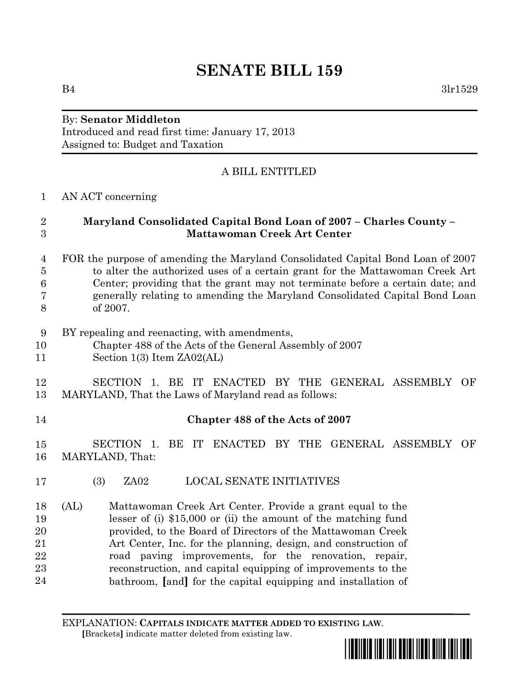# **SENATE BILL 159**

 $B4$   $3\text{lr}1529$ 

# By: **Senator Middleton** Introduced and read first time: January 17, 2013 Assigned to: Budget and Taxation

# A BILL ENTITLED

# 1 AN ACT concerning

### $\overline{2}$ 3

# 2 **Maryland Consolidated Capital Bond Loan of 2007 – Charles County –** 3 **Mattawoman Creek Art Center**

#### 4 FOR the purpose of amending the Maryland Consolidated Capital Bond Loan of 2007 5 to alter the authorized uses of a certain grant for the Mattawoman Creek Art Center; providing that the grant may not terminate before a certain date; and 7 generally relating to amending the Maryland Consolidated Capital Bond Loan 8 of 2007.  $\overline{4}$ 6 7

#### BY repealing and reenacting, with amendments, 9

- 10 Chapter 488 of the Acts of the General Assembly of 2007 10
- 11 Section 1(3) Item ZA02(AL)

#### SECTION 1. BE IT ENACTED BY THE GENERAL ASSEMBLY OF MARYLAND, That the Laws of Maryland read as follows: 12 13

# 14 **Chapter 488 of the Acts of 2007**

SECTION 1. BE IT ENACTED BY THE GENERAL ASSEMBLY OF 16 MARYLAND, That: 15

- 17 (3) ZA02 LOCAL SENATE INITIATIVES
- (AL) Mattawoman Creek Art Center. Provide a grant equal to the lesser of (i) \$15,000 or (ii) the amount of the matching fund provided, to the Board of Directors of the Mattawoman Creek Art Center, Inc. for the planning, design, and construction of road paving improvements, for the renovation, repair, reconstruction, and capital equipping of improvements to the bathroom, **[**and**]** for the capital equipping and installation of 18 19 20 21 22 23 24